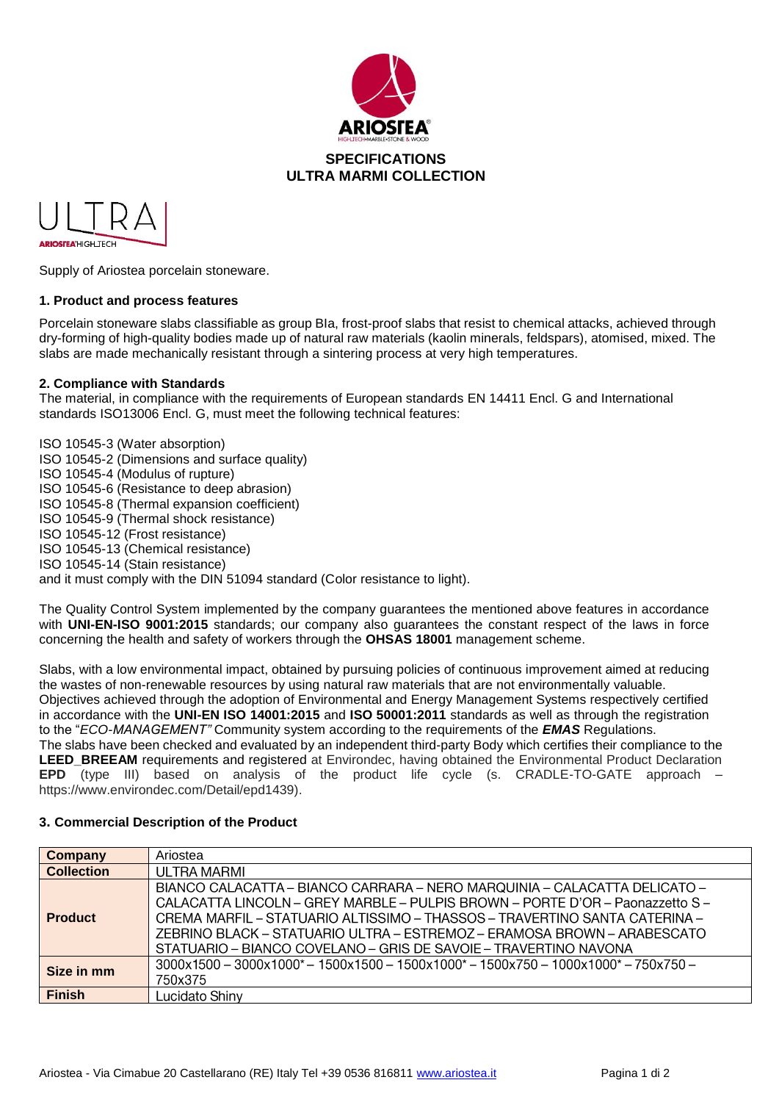



Supply of Ariostea porcelain stoneware.

### **1. Product and process features**

Porcelain stoneware slabs classifiable as group BIa, frost-proof slabs that resist to chemical attacks, achieved through dry-forming of high-quality bodies made up of natural raw materials (kaolin minerals, feldspars), atomised, mixed. The slabs are made mechanically resistant through a sintering process at very high temperatures.

### **2. Compliance with Standards**

The material, in compliance with the requirements of European standards EN 14411 Encl. G and International standards ISO13006 Encl. G, must meet the following technical features:

ISO 10545-3 (Water absorption) ISO 10545-2 (Dimensions and surface quality) ISO 10545-4 (Modulus of rupture) ISO 10545-6 (Resistance to deep abrasion) ISO 10545-8 (Thermal expansion coefficient) ISO 10545-9 (Thermal shock resistance) ISO 10545-12 (Frost resistance) ISO 10545-13 (Chemical resistance) ISO 10545-14 (Stain resistance) and it must comply with the DIN 51094 standard (Color resistance to light).

The Quality Control System implemented by the company guarantees the mentioned above features in accordance with **UNI-EN-ISO 9001:2015** standards; our company also guarantees the constant respect of the laws in force concerning the health and safety of workers through the **OHSAS 18001** management scheme.

Slabs, with a low environmental impact, obtained by pursuing policies of continuous improvement aimed at reducing the wastes of non-renewable resources by using natural raw materials that are not environmentally valuable. Objectives achieved through the adoption of Environmental and Energy Management Systems respectively certified in accordance with the **UNI-EN ISO 14001:2015** and **ISO 50001:2011** standards as well as through the registration to the "*ECO-MANAGEMENT"* Community system according to the requirements of the *EMAS* Regulations. The slabs have been checked and evaluated by an independent third-party Body which certifies their compliance to the **LEED BREEAM** requirements and registered at Environdec, having obtained the Environmental Product Declaration **EPD** (type III) based on analysis of the product life cycle (s. CRADLE-TO-GATE approach – https://www.environdec.com/Detail/epd1439).

| Company           | Ariostea                                                                                                                                                                                                                                                                                                                                                                                |
|-------------------|-----------------------------------------------------------------------------------------------------------------------------------------------------------------------------------------------------------------------------------------------------------------------------------------------------------------------------------------------------------------------------------------|
| <b>Collection</b> | UI TRA MARMI                                                                                                                                                                                                                                                                                                                                                                            |
| <b>Product</b>    | BIANCO CALACATTA - BIANCO CARRARA - NERO MARQUINIA - CALACATTA DELICATO -<br>CALACATTA LINCOLN - GREY MARBLE - PULPIS BROWN - PORTE D'OR - Paonazzetto S -<br>CREMA MARFIL - STATUARIO ALTISSIMO - THASSOS - TRAVERTINO SANTA CATERINA -<br>ZEBRINO BLACK – STATUARIO ULTRA – ESTREMOZ – ERAMOSA BROWN – ARABESCATO<br>STATUARIO – BIANCO COVELANO – GRIS DE SAVOIE – TRAVERTINO NAVONA |
| Size in mm        | $3000x1500 - 3000x1000^* - 1500x1500 - 1500x1000^* - 1500x750 - 1000x1000^* - 750x750 -$<br>750x375                                                                                                                                                                                                                                                                                     |
| <b>Finish</b>     | Lucidato Shiny                                                                                                                                                                                                                                                                                                                                                                          |

## **3. Commercial Description of the Product**